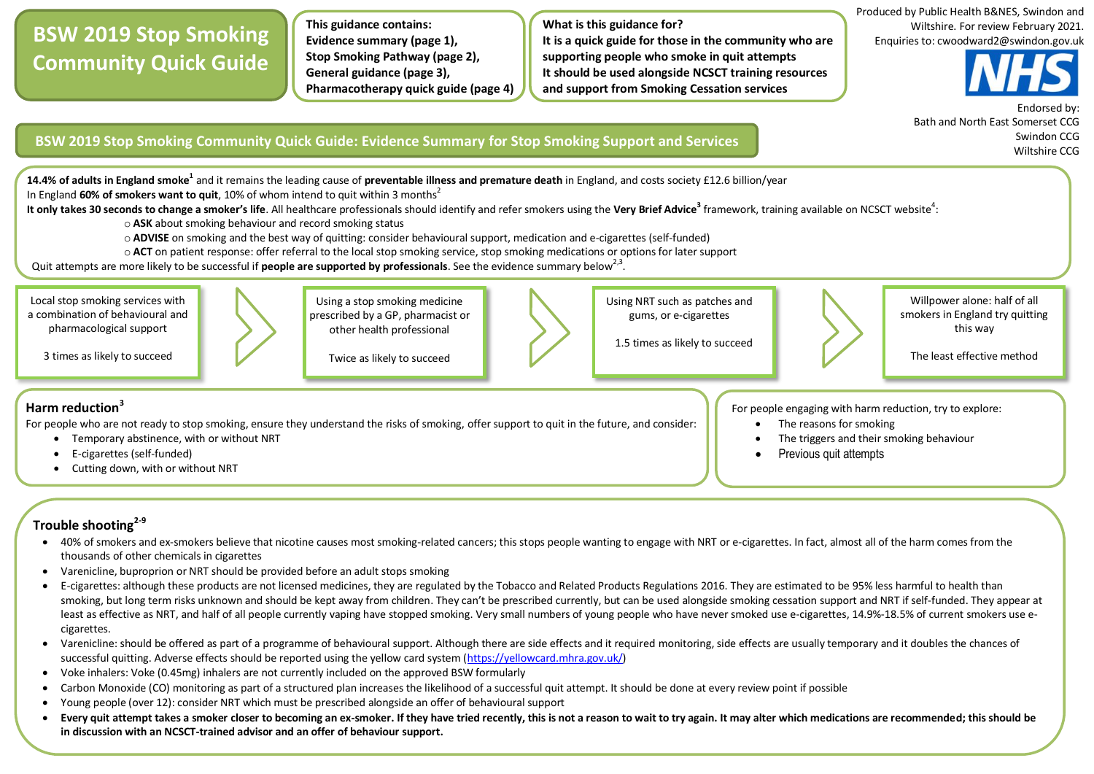## **BSW 2019 Stop Smoking Community Quick Guide**

**This guidance contains: Evidence summary (page 1), Stop Smoking Pathway (page 2), General guidance (page 3), Pharmacotherapy quick guide (page 4)**

**What is this guidance for? It is a quick guide for those in the community who are supporting people who smoke in quit attempts It should be used alongside NCSCT training resources and support from Smoking Cessation services**





 Endorsed by: Bath and North East Somerset CCG Swindon CCG Wiltshire CCG

## **BSW 2019 Stop Smoking Community Quick Guide: Evidence Summary for Stop Smoking Support and Services**

**14.4% of adults in England smoke<sup>1</sup> and it remains the leading cause of <b>preventable illness and premature death** in England, and costs society £12.6 billion/year In England 60% of smokers want to quit, 10% of whom intend to quit within 3 months<sup>2</sup>

It only takes 30 seconds to change a smoker's life. All healthcare professionals should identify and refer smokers using the Very Brief Advice<sup>3</sup> framework, training available on NCSCT website<sup>4</sup>:

o **ASK** about smoking behaviour and record smoking status

- o **ADVISE** on smoking and the best way of quitting: consider behavioural support, medication and e-cigarettes (self-funded)
- o **ACT** on patient response: offer referral to the local stop smoking service, stop smoking medications or options for later support

Quit attempts are more likely to be successful if **people are supported by professionals**. See the evidence summary below<sup>2,3</sup>.

Local stop smoking services with a combination of behavioural and pharmacological support 3 times as likely to succeed Using a stop smoking medicine prescribed by a GP, pharmacist or other health professional Twice as likely to succeed Using NRT such as patches and gums, or e-cigarettes 1.5 times as likely to succeed Willpower alone: half of all smokers in England try quitting this way The least effective method For people engaging with harm reduction, try to explore: The reasons for smoking The triggers and their smoking behaviour Previous quit attempts **Harm reduction<sup>3</sup>** For people who are not ready to stop smoking, ensure they understand the risks of smoking, offer support to quit in the future, and consider: Temporary abstinence, with or without NRT E-cigarettes (self-funded) Cutting down, with or without NRT i.

## **Trouble shooting2-9**

- 40% of smokers and ex-smokers believe that nicotine causes most smoking-related cancers; this stops people wanting to engage with NRT or e-cigarettes. In fact, almost all of the harm comes from the thousands of other chemicals in cigarettes
- Varenicline, buproprion or NRT should be provided before an adult stops smoking
- E-cigarettes: although these products are not licensed medicines, they are regulated by the Tobacco and Related Products Regulations 2016. They are estimated to be 95% less harmful to health than smoking, but long term risks unknown and should be kept away from children. They can't be prescribed currently, but can be used alongside smoking cessation support and NRT if self-funded. They appear at least as effective as NRT, and half of all people currently vaping have stopped smoking. Very small numbers of young people who have never smoked use e-cigarettes, 14.9%-18.5% of current smokers use ecigarettes.
- Varenicline: should be offered as part of a programme of behavioural support. Although there are side effects and it required monitoring, side effects are usually temporary and it doubles the chances of successful quitting. Adverse effects should be reported using the yellow card system [\(https://yellowcard.mhra.gov.uk/\)](https://yellowcard.mhra.gov.uk/)
- Voke inhalers: Voke (0.45mg) inhalers are not currently included on the approved BSW formularly
- Carbon Monoxide (CO) monitoring as part of a structured plan increases the likelihood of a successful quit attempt. It should be done at every review point if possible
- Young people (over 12): consider NRT which must be prescribed alongside an offer of behavioural support
- **Every quit attempt takes a smoker closer to becoming an ex-smoker. If they have tried recently, this is not a reason to wait to try again. It may alter which medications are recommended; this should be in discussion with an NCSCT-trained advisor and an offer of behaviour support.**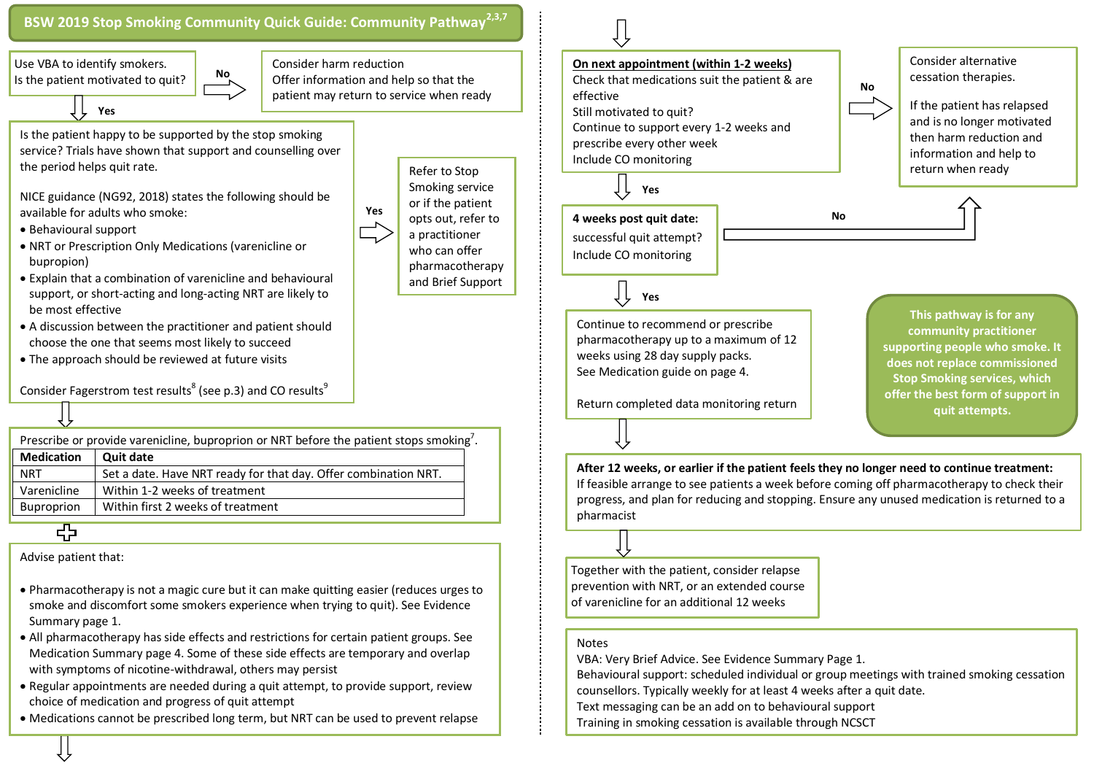

Buproprion  $\parallel$  Within first 2 weeks of treatment

Burgo date the first 2 weeks of treatment 2 weeks of the first 2 weeks of the first 2 weeks of the first 2 weeks of the first 2 weeks of the first 2 weeks of the first 2 weeks of the first 2 weeks of the first 2 weeks of t

Advise patient that:

- Pharmacotherapy is not a magic cure but it can make quitting easier (reduces urges to smoke and discomfort some smokers experience when trying to quit). See Evidence Summary page 1.
- All pharmacotherapy has side effects and restrictions for certain patient groups. See Medication Summary page 4. Some of these side effects are temporary and overlap with symptoms of nicotine-withdrawal, others may persist
- Regular appointments are needed during a quit attempt, to provide support, review choice of medication and progress of quit attempt
- Medications cannot be prescribed long term, but NRT can be used to prevent relapse

Together with the patient, consider relapse prevention with NRT, or an extended course of varenicline for an additional 12 weeks

## Notes

pharmacist

VBA: Very Brief Advice. See Evidence Summary Page 1.

Behavioural support: scheduled individual or group meetings with trained smoking cessation counsellors. Typically weekly for at least 4 weeks after a quit date.

- Text messaging can be an add on to behavioural support
- Training in smoking cessation is available through NCSCT

This pathway uses NICE Guidance NICE Guidance NICE Guidance NICE Guidance NICE Guidance NG92, and NCSCT best p<br>This pathway uses NICE Guidance NICE Guidance NICE Guidance NICE Guidance NICE Guidance NICE Guidance NICE Gui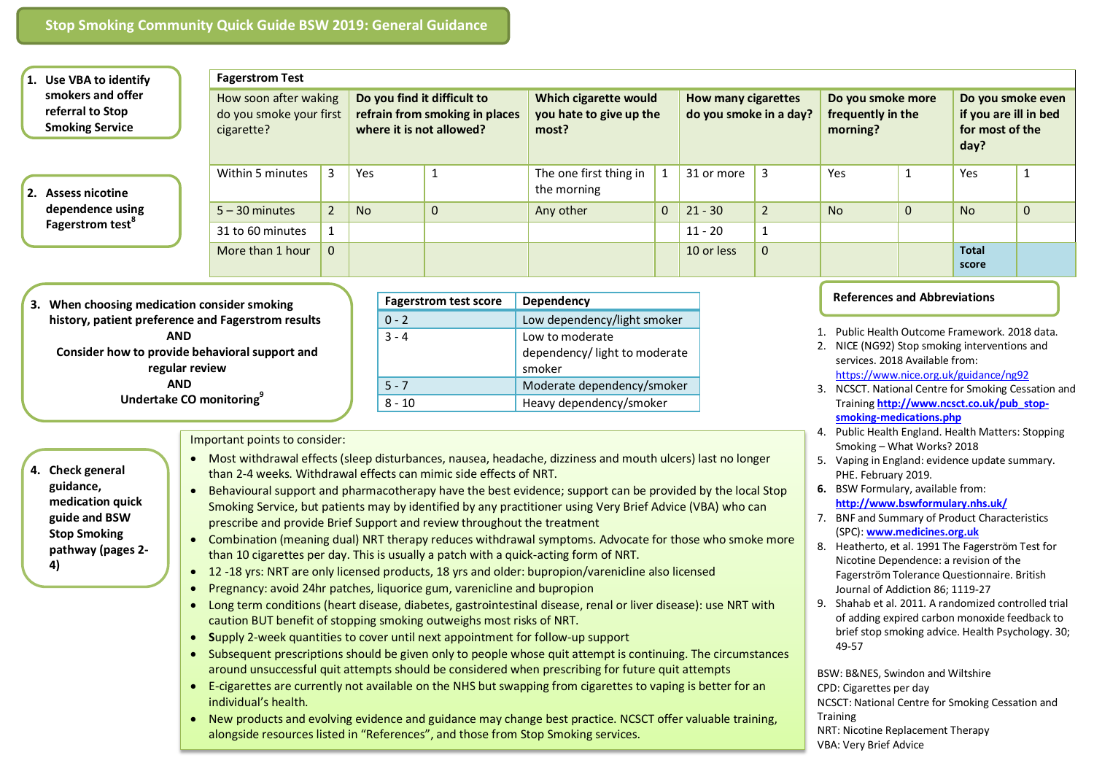| 1. Use VBA to identify                                          | <b>Fagerstrom Test</b>                                         |                |                                                                                           |                              |                                                           |   |                                                      |                |                                                    |                                     |                                                                       |              |
|-----------------------------------------------------------------|----------------------------------------------------------------|----------------|-------------------------------------------------------------------------------------------|------------------------------|-----------------------------------------------------------|---|------------------------------------------------------|----------------|----------------------------------------------------|-------------------------------------|-----------------------------------------------------------------------|--------------|
| smokers and offer<br>referral to Stop<br><b>Smoking Service</b> | How soon after waking<br>do you smoke your first<br>cigarette? |                | Do you find it difficult to<br>refrain from smoking in places<br>where it is not allowed? |                              | Which cigarette would<br>you hate to give up the<br>most? |   | <b>How many cigarettes</b><br>do you smoke in a day? |                | Do you smoke more<br>frequently in the<br>morning? |                                     | Do you smoke even<br>if you are ill in bed<br>for most of the<br>day? |              |
| 2. Assess nicotine                                              | Within 5 minutes                                               | 3              | Yes                                                                                       |                              | The one first thing in<br>the morning                     | 1 | 31 or more                                           |                | Yes                                                |                                     | Yes                                                                   |              |
| dependence using                                                | $5 - 30$ minutes                                               | 2 <sup>1</sup> | <b>No</b>                                                                                 | $\mathbf 0$                  | Any other                                                 | 0 | $21 - 30$                                            | $\overline{2}$ | <b>No</b>                                          | $\mathbf{0}$                        | <b>No</b>                                                             | $\mathbf{0}$ |
| <b>Fagerstrom test<sup>°</sup></b>                              | 31 to 60 minutes                                               |                |                                                                                           |                              |                                                           |   | $11 - 20$                                            |                |                                                    |                                     |                                                                       |              |
|                                                                 | More than 1 hour                                               | $\Omega$       |                                                                                           |                              |                                                           |   | 10 or less                                           | $\mathbf{0}$   |                                                    |                                     | <b>Total</b><br>score                                                 |              |
| When choosing medication consider smoking<br>З.                 | history, patient preference and Fagerstrom results             |                |                                                                                           | <b>Fagerstrom test score</b> | Dependency<br>Low dependency/light smoker                 |   |                                                      |                |                                                    | <b>References and Abbreviations</b> |                                                                       |              |

 **AND Consider how to provide behavioral support and regular review AND**

**Undertake CO monitoring<sup>9</sup>**

| <b>Fagerstrom test score</b> | <b>Dependency</b>                                         |  |  |  |  |
|------------------------------|-----------------------------------------------------------|--|--|--|--|
| $0 - 2$                      | Low dependency/light smoker                               |  |  |  |  |
| $3 - 4$                      | Low to moderate<br>dependency/light to moderate<br>smoker |  |  |  |  |
| $5 - 7$                      | Moderate dependency/smoker                                |  |  |  |  |
| ጸ - 10                       | Heavy dependency/smoker                                   |  |  |  |  |

Important points to consider:

- **4. Check general guidance, medication quick guide and BSW Stop Smoking pathway (pages 2- 4)**
- Most withdrawal effects (sleep disturbances, nausea, headache, dizziness and mouth ulcers) last no longer than 2-4 weeks. Withdrawal effects can mimic side effects of NRT.
- Behavioural support and pharmacotherapy have the best evidence; support can be provided by the local Stop Smoking Service, but patients may by identified by any practitioner using Very Brief Advice (VBA) who can prescribe and provide Brief Support and review throughout the treatment
- Combination (meaning dual) NRT therapy reduces withdrawal symptoms. Advocate for those who smoke more than 10 cigarettes per day. This is usually a patch with a quick-acting form of NRT.
- 12 -18 yrs: NRT are only licensed products, 18 yrs and older: bupropion/varenicline also licensed
- Pregnancy: avoid 24hr patches, liquorice gum, varenicline and bupropion
- Long term conditions (heart disease, diabetes, gastrointestinal disease, renal or liver disease): use NRT with caution BUT benefit of stopping smoking outweighs most risks of NRT.
- **S**upply 2-week quantities to cover until next appointment for follow-up support
- Subsequent prescriptions should be given only to people whose quit attempt is continuing. The circumstances around unsuccessful quit attempts should be considered when prescribing for future quit attempts
- E-cigarettes are currently not available on the NHS but swapping from cigarettes to vaping is better for an individual's health.
- New products and evolving evidence and guidance may change best practice. NCSCT offer valuable training, alongside resources listed in "References", and those from Stop Smoking services.
- 1. Public Health Outcome Framework. 2018 data.
- 2. NICE (NG92) Stop smoking interventions and services. 2018 Available from: <https://www.nice.org.uk/guidance/ng92>
- 3. NCSCT. National Centre for Smoking Cessation and Training **[http://www.ncsct.co.uk/pub\\_stop](http://www.ncsct.co.uk/pub_stop-smoking-medications.php)[smoking-medications.php](http://www.ncsct.co.uk/pub_stop-smoking-medications.php)**
- 4. Public Health England. Health Matters: Stopping Smoking – What Works? 2018
- 5. Vaping in England: evidence update summary. PHE. February 2019.
- **6.** BSW Formulary, available from: **<http://www.bswformulary.nhs.uk/>**
- 7. BNF and Summary of Product Characteristics (SPC): **[www.medicines.org.uk](http://www.medicines.org.uk/)**
- 8. Heatherto, et al. 1991 The Fagerström Test for Nicotine Dependence: a revision of the Fagerström Tolerance Questionnaire. British Journal of Addiction 86; 1119-27
- 9. Shahab et al. 2011. A randomized controlled trial of adding expired carbon monoxide feedback to brief stop smoking advice. Health Psychology. 30; 49-57

BSW: B&NES, Swindon and Wiltshire CPD: Cigarettes per day NCSCT: National Centre for Smoking Cessation and **Training** NRT: Nicotine Replacement Therapy VBA: Very Brief Advice